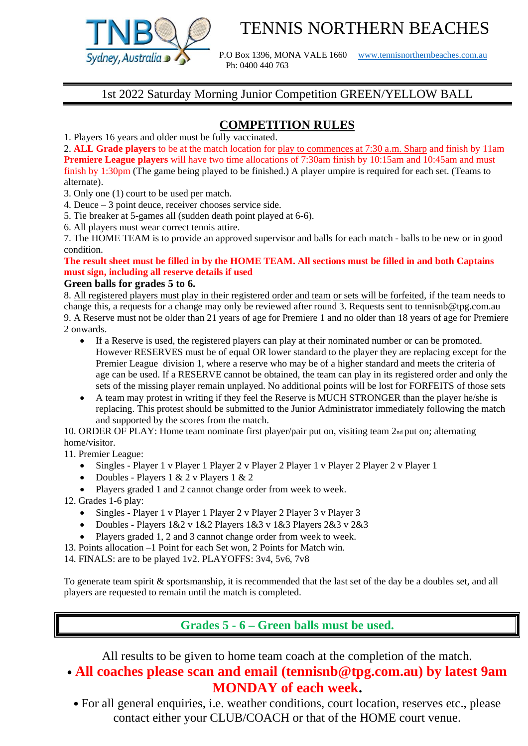

# TENNIS NORTHERN BEACHES

P.O Box 1396, MONA VALE 1660 [www.tennisnorthernbeaches.com.au](http://www.tennisnorthernbeaches.com.au/) Ph: 0400 440 763

### 1st 2022 Saturday Morning Junior Competition GREEN/YELLOW BALL

# **COMPETITION RULES**

1. Players 16 years and older must be fully vaccinated.

2. **ALL Grade players** to be at the match location for play to commences at 7:30 a.m. Sharp and finish by 11am **Premiere League players** will have two time allocations of 7:30am finish by 10:15am and 10:45am and must finish by 1:30pm (The game being played to be finished.) A player umpire is required for each set. (Teams to alternate).

3. Only one (1) court to be used per match.

- 4. Deuce 3 point deuce, receiver chooses service side.
- 5. Tie breaker at 5-games all (sudden death point played at 6-6).

6. All players must wear correct tennis attire.

7. The HOME TEAM is to provide an approved supervisor and balls for each match - balls to be new or in good condition.

#### **The result sheet must be filled in by the HOME TEAM. All sections must be filled in and both Captains must sign, including all reserve details if used**

#### **Green balls for grades 5 to 6.**

8. All registered players must play in their registered order and team or sets will be forfeited, if the team needs to change this, a requests for a change may only be reviewed after round 3. Requests sent to tennisnb@tpg.com.au 9. A Reserve must not be older than 21 years of age for Premiere 1 and no older than 18 years of age for Premiere 2 onwards.

- If a Reserve is used, the registered players can play at their nominated number or can be promoted. However RESERVES must be of equal OR lower standard to the player they are replacing except for the Premier League division 1, where a reserve who may be of a higher standard and meets the criteria of age can be used. If a RESERVE cannot be obtained, the team can play in its registered order and only the sets of the missing player remain unplayed. No additional points will be lost for FORFEITS of those sets
- A team may protest in writing if they feel the Reserve is MUCH STRONGER than the player he/she is replacing. This protest should be submitted to the Junior Administrator immediately following the match and supported by the scores from the match.

10. ORDER OF PLAY: Home team nominate first player/pair put on, visiting team 2nd put on; alternating home/visitor.

11. Premier League:

- Singles Player 1 v Player 1 Player 2 v Player 2 Player 1 v Player 2 Player 2 v Player 1
- Doubles Players 1 & 2 v Players 1 & 2
- Players graded 1 and 2 cannot change order from week to week.
- 12. Grades 1-6 play:
	- Singles Player 1 v Player 1 Player 2 v Player 2 Player 3 v Player 3
	- Doubles Players 1&2 v 1&2 Players 1&3 v 1&3 Players 2&3 v 2&3
	- Players graded 1, 2 and 3 cannot change order from week to week.
- 13. Points allocation –1 Point for each Set won, 2 Points for Match win.
- 14. FINALS: are to be played 1v2. PLAYOFFS: 3v4, 5v6, 7v8

To generate team spirit & sportsmanship, it is recommended that the last set of the day be a doubles set, and all players are requested to remain until the match is completed.

**Grades 5 - 6 – Green balls must be used.**

All results to be given to home team coach at the completion of the match. • **All coaches please scan and email (tennisnb@tpg.com.au) by latest 9am** 

**MONDAY of each week.** • For all general enquiries, i.e. weather conditions, court location, reserves etc., please contact either your CLUB/COACH or that of the HOME court venue.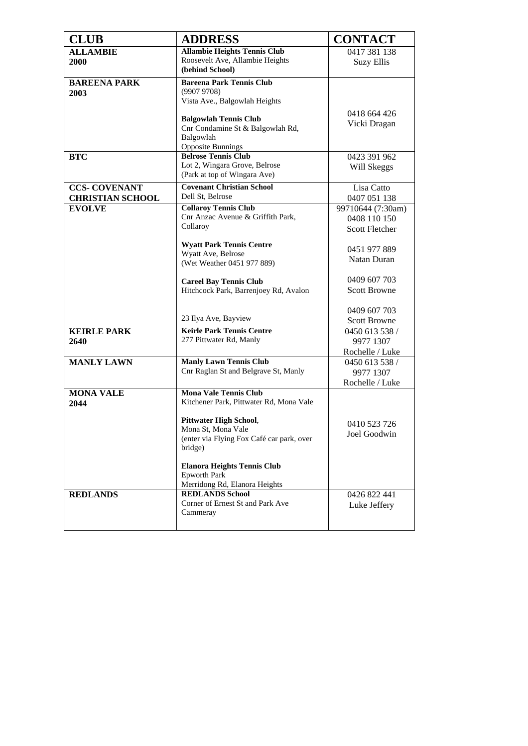| <b>CLUB</b>                 | <b>ADDRESS</b>                                                        | <b>CONTACT</b>               |
|-----------------------------|-----------------------------------------------------------------------|------------------------------|
| <b>ALLAMBIE</b>             | <b>Allambie Heights Tennis Club</b>                                   | 0417 381 138                 |
| 2000                        | Roosevelt Ave, Allambie Heights<br>(behind School)                    | <b>Suzy Ellis</b>            |
| <b>BAREENA PARK</b><br>2003 | <b>Bareena Park Tennis Club</b><br>(99079708)                         |                              |
|                             | Vista Ave., Balgowlah Heights                                         |                              |
|                             |                                                                       | 0418 664 426                 |
|                             | <b>Balgowlah Tennis Club</b><br>Cnr Condamine St & Balgowlah Rd,      | Vicki Dragan                 |
|                             | Balgowlah                                                             |                              |
|                             | <b>Opposite Bunnings</b>                                              |                              |
| <b>BTC</b>                  | <b>Belrose Tennis Club</b>                                            | 0423 391 962                 |
|                             | Lot 2, Wingara Grove, Belrose<br>(Park at top of Wingara Ave)         | Will Skeggs                  |
| <b>CCS- COVENANT</b>        | <b>Covenant Christian School</b>                                      | Lisa Catto                   |
| <b>CHRISTIAN SCHOOL</b>     | Dell St, Belrose                                                      | 0407 051 138                 |
| <b>EVOLVE</b>               | <b>Collaroy Tennis Club</b>                                           | 99710644 (7:30am)            |
|                             | Cnr Anzac Avenue & Griffith Park,<br>Collaroy                         | 0408 110 150                 |
|                             |                                                                       | <b>Scott Fletcher</b>        |
|                             | <b>Wyatt Park Tennis Centre</b>                                       | 0451 977 889                 |
|                             | Wyatt Ave, Belrose                                                    | Natan Duran                  |
|                             | (Wet Weather 0451 977 889)                                            |                              |
|                             | <b>Careel Bay Tennis Club</b>                                         | 0409 607 703                 |
|                             | Hitchcock Park, Barrenjoey Rd, Avalon                                 | <b>Scott Browne</b>          |
|                             |                                                                       | 0409 607 703                 |
|                             | 23 Ilya Ave, Bayview                                                  | <b>Scott Browne</b>          |
| <b>KEIRLE PARK</b>          | <b>Keirle Park Tennis Centre</b>                                      | 0450 613 538 /               |
| 2640                        | 277 Pittwater Rd, Manly                                               | 9977 1307                    |
|                             |                                                                       | Rochelle / Luke              |
| <b>MANLY LAWN</b>           | <b>Manly Lawn Tennis Club</b><br>Cnr Raglan St and Belgrave St, Manly | 0450 613 538 /<br>9977 1307  |
|                             |                                                                       | Rochelle / Luke              |
| <b>MONA VALE</b>            | <b>Mona Vale Tennis Club</b>                                          |                              |
| 2044                        | Kitchener Park, Pittwater Rd, Mona Vale                               |                              |
|                             | <b>Pittwater High School,</b>                                         |                              |
|                             | Mona St, Mona Vale                                                    | 0410 523 726<br>Joel Goodwin |
|                             | (enter via Flying Fox Café car park, over<br>bridge)                  |                              |
|                             | <b>Elanora Heights Tennis Club</b>                                    |                              |
|                             | <b>Epworth Park</b>                                                   |                              |
|                             | Merridong Rd, Elanora Heights                                         |                              |
| <b>REDLANDS</b>             | <b>REDLANDS School</b>                                                | 0426 822 441                 |
|                             | Corner of Ernest St and Park Ave<br>Cammeray                          | Luke Jeffery                 |
|                             |                                                                       |                              |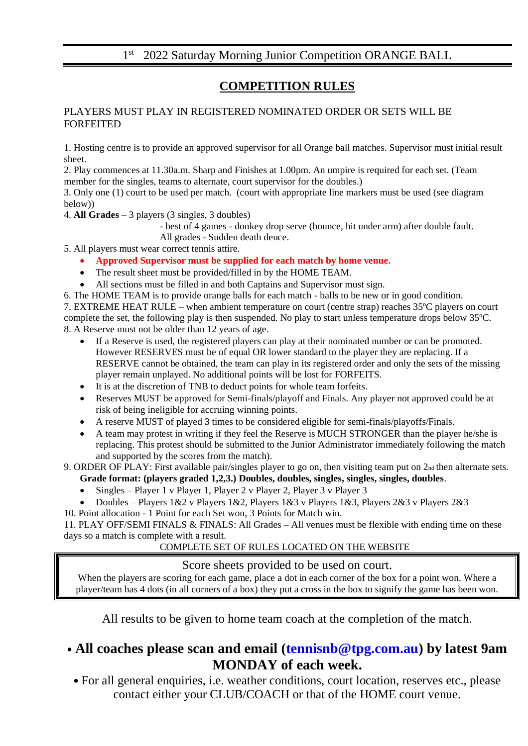### 1<sup>st</sup> 2022 Saturday Morning Junior Competition ORANGE BALL

### **COMPETITION RULES**

#### PLAYERS MUST PLAY IN REGISTERED NOMINATED ORDER OR SETS WILL BE FORFEITED

1. Hosting centre is to provide an approved supervisor for all Orange ball matches. Supervisor must initial result sheet.

2. Play commences at 11.30a.m. Sharp and Finishes at 1.00pm. An umpire is required for each set. (Team member for the singles, teams to alternate, court supervisor for the doubles.)

3. Only one (1) court to be used per match. (court with appropriate line markers must be used (see diagram below))

4. **All Grades** – 3 players (3 singles, 3 doubles)

- best of 4 games - donkey drop serve (bounce, hit under arm) after double fault.

All grades - Sudden death deuce.

5. All players must wear correct tennis attire.

- **Approved Supervisor must be supplied for each match by home venue.**
- The result sheet must be provided/filled in by the HOME TEAM.
- All sections must be filled in and both Captains and Supervisor must sign.

6. The HOME TEAM is to provide orange balls for each match - balls to be new or in good condition. 7. EXTREME HEAT RULE – when ambient temperature on court (centre strap) reaches 35ºC players on court

complete the set, the following play is then suspended. No play to start unless temperature drops below 35ºC. 8. A Reserve must not be older than 12 years of age.

- If a Reserve is used, the registered players can play at their nominated number or can be promoted. However RESERVES must be of equal OR lower standard to the player they are replacing. If a RESERVE cannot be obtained, the team can play in its registered order and only the sets of the missing player remain unplayed. No additional points will be lost for FORFEITS.
- It is at the discretion of TNB to deduct points for whole team forfeits.
- Reserves MUST be approved for Semi-finals/playoff and Finals. Any player not approved could be at risk of being ineligible for accruing winning points.
- A reserve MUST of played 3 times to be considered eligible for semi-finals/playoffs/Finals.
- A team may protest in writing if they feel the Reserve is MUCH STRONGER than the player he/she is replacing. This protest should be submitted to the Junior Administrator immediately following the match and supported by the scores from the match).

9. ORDER OF PLAY: First available pair/singles player to go on, then visiting team put on 2<sub>nd</sub> then alternate sets.

- **Grade format: (players graded 1,2,3.) Doubles, doubles, singles, singles, singles, doubles**.
- Singles Player 1 v Player 1, Player 2 v Player 2, Player 3 v Player 3
- Doubles Players 1&2 v Players 1&2, Players 1&3 v Players 1&3, Players 2&3 v Players 2&3

10. Point allocation - 1 Point for each Set won, 3 Points for Match win.

11. PLAY OFF/SEMI FINALS & FINALS: All Grades – All venues must be flexible with ending time on these days so a match is complete with a result.

#### COMPLETE SET OF RULES LOCATED ON THE WEBSITE

#### Score sheets provided to be used on court.

When the players are scoring for each game, place a dot in each corner of the box for a point won. Where a player/team has 4 dots (in all corners of a box) they put a cross in the box to signify the game has been won.

All results to be given to home team coach at the completion of the match.

# • **All coaches please scan and email (tennisnb@tpg.com.au) by latest 9am MONDAY of each week.**

• For all general enquiries, i.e. weather conditions, court location, reserves etc., please contact either your CLUB/COACH or that of the HOME court venue.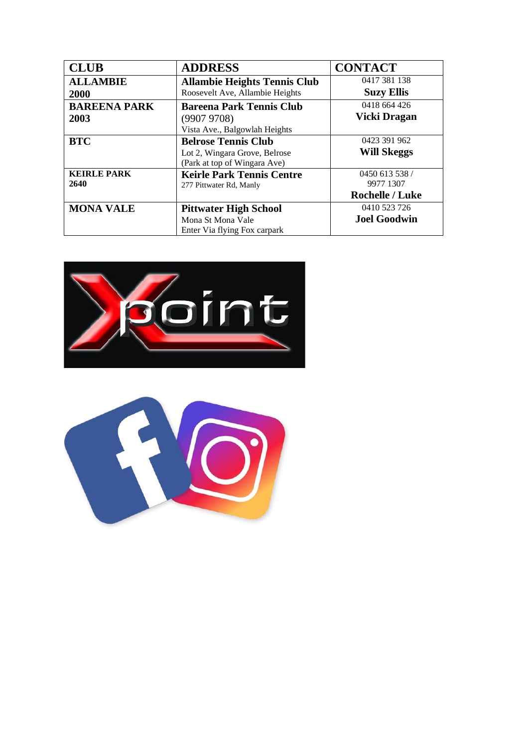| <b>CLUB</b>         | <b>ADDRESS</b>                      | <b>CONTACT</b>         |
|---------------------|-------------------------------------|------------------------|
| <b>ALLAMBIE</b>     | <b>Allambie Heights Tennis Club</b> | 0417 381 138           |
| 2000                | Roosevelt Ave, Allambie Heights     | <b>Suzy Ellis</b>      |
| <b>BAREENA PARK</b> | <b>Bareena Park Tennis Club</b>     | 0418 664 426           |
| 2003                | (99079708)                          | Vicki Dragan           |
|                     | Vista Ave., Balgowlah Heights       |                        |
| <b>BTC</b>          | <b>Belrose Tennis Club</b>          | 0423 391 962           |
|                     | Lot 2, Wingara Grove, Belrose       | <b>Will Skeggs</b>     |
|                     | (Park at top of Wingara Ave)        |                        |
| <b>KEIRLE PARK</b>  | <b>Keirle Park Tennis Centre</b>    | 0450 613 538 /         |
| 2640                | 277 Pittwater Rd, Manly             | 9977 1307              |
|                     |                                     | <b>Rochelle / Luke</b> |
| <b>MONA VALE</b>    | <b>Pittwater High School</b>        | 0410 523 726           |
|                     | Mona St Mona Vale                   | <b>Joel Goodwin</b>    |
|                     | Enter Via flying Fox carpark        |                        |



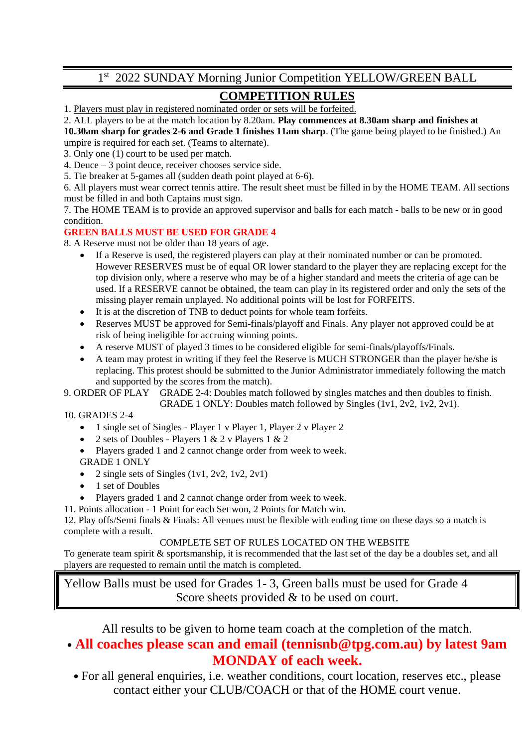# 1st 2022 SUNDAY Morning Junior Competition YELLOW/GREEN BALL

# **COMPETITION RULES**

1. Players must play in registered nominated order or sets will be forfeited.

#### 2. ALL players to be at the match location by 8.20am. **Play commences at 8.30am sharp and finishes at**

**10.30am sharp for grades 2-6 and Grade 1 finishes 11am sharp**. (The game being played to be finished.) An umpire is required for each set. (Teams to alternate).

3. Only one (1) court to be used per match.

4. Deuce – 3 point deuce, receiver chooses service side.

5. Tie breaker at 5-games all (sudden death point played at 6-6).

6. All players must wear correct tennis attire. The result sheet must be filled in by the HOME TEAM. All sections must be filled in and both Captains must sign.

7. The HOME TEAM is to provide an approved supervisor and balls for each match - balls to be new or in good condition.

#### **GREEN BALLS MUST BE USED FOR GRADE 4**

8. A Reserve must not be older than 18 years of age.

- If a Reserve is used, the registered players can play at their nominated number or can be promoted. However RESERVES must be of equal OR lower standard to the player they are replacing except for the top division only, where a reserve who may be of a higher standard and meets the criteria of age can be used. If a RESERVE cannot be obtained, the team can play in its registered order and only the sets of the missing player remain unplayed. No additional points will be lost for FORFEITS.
- It is at the discretion of TNB to deduct points for whole team forfeits.
- Reserves MUST be approved for Semi-finals/playoff and Finals. Any player not approved could be at risk of being ineligible for accruing winning points.
- A reserve MUST of played 3 times to be considered eligible for semi-finals/playoffs/Finals.
- A team may protest in writing if they feel the Reserve is MUCH STRONGER than the player he/she is replacing. This protest should be submitted to the Junior Administrator immediately following the match and supported by the scores from the match).

9. ORDER OF PLAY GRADE 2-4: Doubles match followed by singles matches and then doubles to finish. GRADE 1 ONLY: Doubles match followed by Singles (1v1, 2v2, 1v2, 2v1).

#### 10. GRADES 2-4

- 1 single set of Singles Player 1 v Player 1, Player 2 v Player 2
- 2 sets of Doubles Players 1 & 2 v Players 1 & 2
- Players graded 1 and 2 cannot change order from week to week.
- GRADE 1 ONLY
- 2 single sets of Singles  $(1v1, 2v2, 1v2, 2v1)$
- 1 set of Doubles
- Players graded 1 and 2 cannot change order from week to week.
- 11. Points allocation 1 Point for each Set won, 2 Points for Match win.

12. Play offs/Semi finals & Finals: All venues must be flexible with ending time on these days so a match is complete with a result.

COMPLETE SET OF RULES LOCATED ON THE WEBSITE

To generate team spirit & sportsmanship, it is recommended that the last set of the day be a doubles set, and all players are requested to remain until the match is completed.

Yellow Balls must be used for Grades 1- 3, Green balls must be used for Grade 4 Score sheets provided  $&$  to be used on court.

All results to be given to home team coach at the completion of the match.

### • **All coaches please scan and email (tennisnb@tpg.com.au) by latest 9am MONDAY of each week.**

• For all general enquiries, i.e. weather conditions, court location, reserves etc., please contact either your CLUB/COACH or that of the HOME court venue.